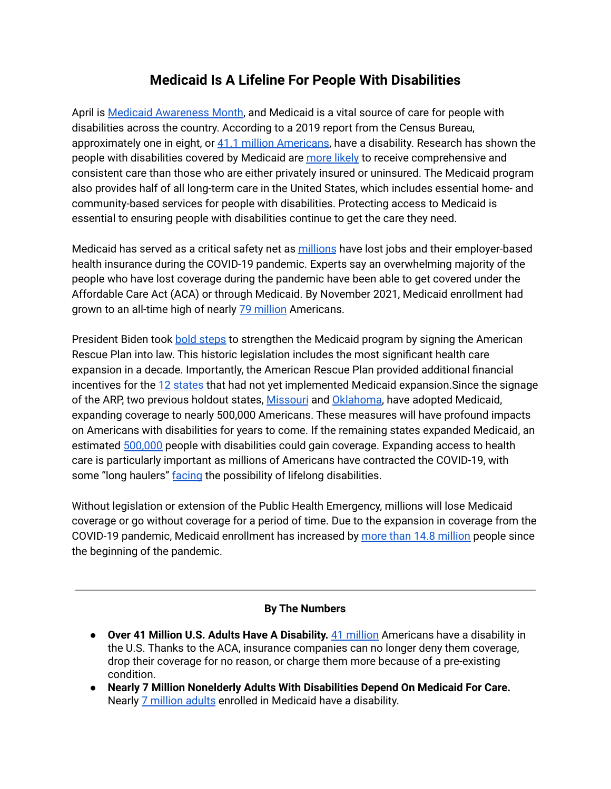# **Medicaid Is A Lifeline For People With Disabilities**

April is Medicaid [Awareness](https://www.medicaidawareness.com/) Month, and Medicaid is a vital source of care for people with disabilities across the country. According to a 2019 report from the Census Bureau, approximately one in eight, or 41.1 million [Americans](https://www.census.gov/newsroom/facts-for-features/2021/disabilities-act.html#:~:text=41.1%20million%20or%2012.7%25,the%20United%20States%20in%202019.), have a disability. Research has shown the people with disabilities covered by Medicaid are [more](https://www.kff.org/medicaid/issue-brief/medicaid-restructuring-under-the-american-health-care-act-and-nonelderly-adults-with-disabilities/) likely to receive comprehensive and consistent care than those who are either privately insured or uninsured. The Medicaid program also provides half of all long-term care in the United States, which includes essential home- and community-based services for people with disabilities. Protecting access to Medicaid is essential to ensuring people with disabilities continue to get the care they need.

Medicaid has served as a critical safety net as [millions](https://www.kff.org/policy-watch/how-has-the-pandemic-affected-health-coverage-in-the-u-s/) have lost jobs and their employer-based health insurance during the COVID-19 pandemic. Experts say an overwhelming majority of the people who have lost coverage during the pandemic have been able to get covered under the Affordable Care Act (ACA) or through Medicaid. By November 2021, Medicaid enrollment had grown to an all-time high of nearly 79 [million](https://www.medicaid.gov/medicaid/program-information/medicaid-and-chip-enrollment-data/report-highlights/index.html) Americans.

President Biden took bold [steps](https://www.medicaidawareness.com/how-the-american-rescue-plan-strengthens-medicaid-coverage/) to strengthen the Medicaid program by signing the American Rescue Plan into law. This historic legislation includes the most significant health care expansion in a decade. Importantly, the American Rescue Plan provided additional financial incentives for the 12 [states](https://www.cbpp.org/research/health/health-provisions-in-house-relief-bill-would-improve-access-to-health-coverage#_ftn1) that had not yet implemented Medicaid expansion. Since the signage of the ARP, two previous holdout states, [Missouri](https://www.hhs.gov/about/news/2021/10/04/missouri-medicaid-expansion-brings-quality-essential-health-coverage.html) and [Oklahoma,](https://www.hhs.gov/about/news/2021/07/01/oklahomas-medicaid-expansion-will-provide-access-to-coverage-for-190000-oklahomans.html) have adopted Medicaid, expanding coverage to nearly 500,000 Americans. These measures will have profound impacts on Americans with disabilities for years to come. If the remaining states expanded Medicaid, an estimated [500,000](https://www.cbpp.org/research/health/house-bill-gives-states-incentive-to-quickly-expand-medicaid-cover-millions-of#_ftnref7) people with disabilities could gain coverage. Expanding access to health care is particularly important as millions of Americans have contracted the COVID-19, with some "long haulers" [facing](https://www.npr.org/sections/health-shots/2021/02/22/966291447/when-does-covid-19-become-a-disability-long-haulers-push-for-answers-and-benefit) the possibility of lifelong disabilities.

Without legislation or extension of the Public Health Emergency, millions will lose Medicaid coverage or go without coverage for a period of time. Due to the expansion in coverage from the COVID-19 pandemic, Medicaid enrollment has increased by more than 14.8 [million](https://www.commonwealthfund.org/publications/2021/sep/restoring-access-maternity-care-rural-america) people since the beginning of the pandemic.

### **By The Numbers**

- **Over 41 Million U.S. Adults Have A Disability.** 41 [million](https://www.census.gov/newsroom/facts-for-features/2021/disabilities-act.html#:~:text=41.1%20million%20or%2012.7%25,the%20United%20States%20in%202019.) Americans have a disability in the U.S. Thanks to the ACA, insurance companies can no longer deny them coverage, drop their coverage for no reason, or charge them more because of a pre-existing condition.
- **Nearly 7 Million Nonelderly Adults With Disabilities Depend On Medicaid For Care.** Nearly 7 [million](https://www.kff.org/report-section/medicaid-financial-eligibility-for-seniors-and-people-with-disabilities-findings-from-a-50-state-survey-issue-brief/) adults enrolled in Medicaid have a disability.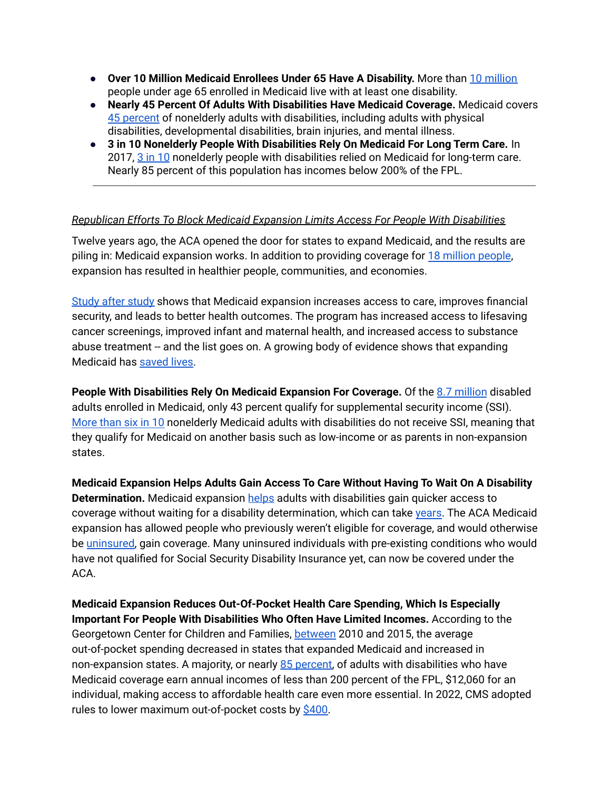- **Over 10 Million Medicaid Enrollees Under 65 Have A Disability.** More than 10 [million](https://www.kff.org/medicaid/state-indicator/distribution-of-medicaid-enrollees-by-enrollment-group/?currentTimeframe=0&selectedDistributions=individuals-with-disabilities&sortModel=%7B%22colId%22:%22Location%22,%22sort%22:%22asc%22%7D) people under age 65 enrolled in Medicaid live with at least one disability.
- **Nearly 45 Percent Of Adults With Disabilities Have Medicaid Coverage.** Medicaid covers 45 [percent](https://www.kff.org/medicaid/issue-brief/10-things-to-know-about-medicaid-setting-the-facts-straight/) of nonelderly adults with disabilities, including adults with physical disabilities, developmental disabilities, brain injuries, and mental illness.
- **3 in 10 Nonelderly People With Disabilities Rely On Medicaid For Long Term Care.** In 2017, 3 in [10](https://www.kff.org/medicaid/issue-brief/medicaid-restructuring-under-the-american-health-care-act-and-nonelderly-adults-with-disabilities/) nonelderly people with disabilities relied on Medicaid for long-term care. Nearly 85 percent of this population has incomes below 200% of the FPL.

### *Republican Efforts To Block Medicaid Expansion Limits Access For People With Disabilities*

Twelve years ago, the ACA opened the door for states to expand Medicaid, and the results are piling in: Medicaid expansion works. In addition to providing coverage for 18 [million](https://www.kff.org/health-reform/state-indicator/medicaid-expansion-enrollment/?currentTimeframe=0&sortModel=%7B%22colId%22:%22Location%22,%22sort%22:%22asc%22%7D) people, expansion has resulted in healthier people, communities, and economies.

[Study](https://www.cbpp.org/research/health/chart-book-the-far-reaching-benefits-of-the-affordable-care-acts-medicaid-expansion) after study shows that Medicaid expansion increases access to care, improves financial security, and leads to better health outcomes. The program has increased access to lifesaving cancer screenings, improved infant and maternal health, and increased access to substance abuse treatment -- and the list goes on. A growing body of evidence shows that expanding Medicaid has [saved](https://www.cbpp.org/research/health/medicaid-expansion-has-saved-at-least-19000-lives-new-research-finds) lives.

**People With Disabilities Rely On Medicaid Expansion For Coverage.** Of the 8.7 [million](https://www.kff.org/medicaid/issue-brief/how-might-medicaid-adults-with-disabilities-be-affected-by-work-requirements-in-section-1115-waiver-programs/) disabled adults enrolled in Medicaid, only 43 percent qualify for supplemental security income (SSI). [More](https://www.kff.org/medicaid/issue-brief/people-with-disabilities-are-at-risk-of-losing-medicaid-coverage-without-the-aca-expansion/) than six in 10 nonelderly Medicaid adults with disabilities do not receive SSI, meaning that they qualify for Medicaid on another basis such as low-income or as parents in non-expansion states.

**Medicaid Expansion Helps Adults Gain Access To Care Without Having To Wait On A Disability Determination.** Medicaid expansion [helps](https://www.kff.org/health-reform/issue-brief/the-affordable-care-acts-impact-on-medicaid-eligibility-enrollment-and-benefits-for-people-with-disabilities/) adults with disabilities gain quicker access to coverage without waiting for a disability determination, which can take [years.](https://www.disabilitysecrets.com/resources/survey-statistics-how-long-does-it-take-to-get-approved-for-social-security-disability-benefits.html) The ACA Medicaid expansion has allowed people who previously weren't eligible for coverage, and would otherwise be [uninsured,](https://www.kff.org/medicaid/issue-brief/key-questions-about-medicaid-home-and-community-based-services-waiver-waiting-lists/) gain coverage. Many uninsured individuals with pre-existing conditions who would have not qualified for Social Security Disability Insurance yet, can now be covered under the ACA.

**Medicaid Expansion Reduces Out-Of-Pocket Health Care Spending, Which Is Especially Important For People With Disabilities Who Often Have Limited Incomes.** According to the Georgetown Center for Children and Families, [between](https://ccf.georgetown.edu/2018/03/08/research-update-medicaid-pulls-americans-out-of-poverty-updated-edition/) 2010 and 2015, the average out-of-pocket spending decreased in states that expanded Medicaid and increased in non-expansion states. A majority, or nearly 85 [percent,](https://www.kff.org/medicaid/issue-brief/medicaid-restructuring-under-the-american-health-care-act-and-nonelderly-adults-with-disabilities/) of adults with disabilities who have Medicaid coverage earn annual incomes of less than 200 percent of the FPL, \$12,060 for an individual, making access to affordable health care even more essential. In 2022, CMS adopted rules to lower maximum out-of-pocket costs by [\\$400.](https://www.cms.gov/newsroom/press-releases/cms-adopt-rules-lower-health-care-costs-2022-federal-health-insurance-marketplace-plans#:~:text=The%20Centers%20for%20Medicare%20%26%20Medicaid,Marketplaces%20in%20plan%20year%202022.)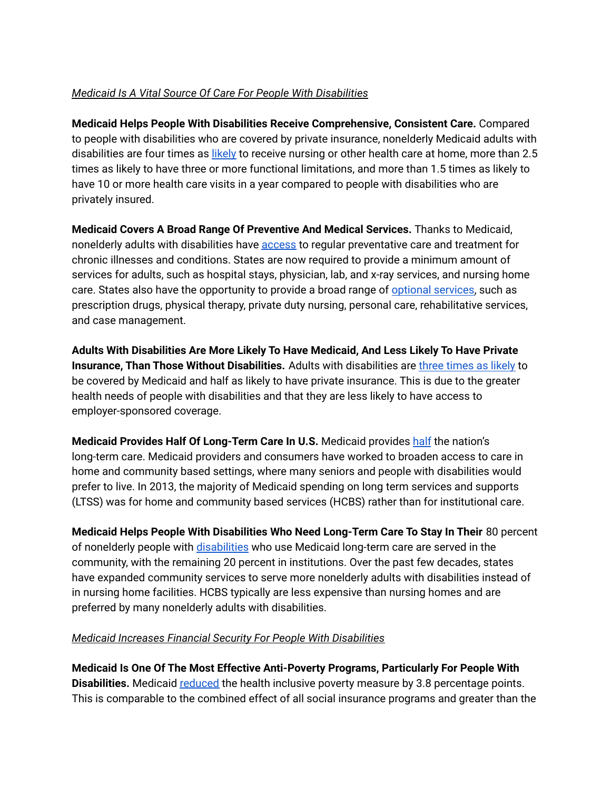## *Medicaid Is A Vital Source Of Care For People With Disabilities*

**Medicaid Helps People With Disabilities Receive Comprehensive, Consistent Care.** Compared to people with disabilities who are covered by private insurance, nonelderly Medicaid adults with disabilities are four times as [likely](https://www.kff.org/medicaid/issue-brief/medicaid-restructuring-under-the-american-health-care-act-and-nonelderly-adults-with-disabilities/) to receive nursing or other health care at home, more than 2.5 times as likely to have three or more functional limitations, and more than 1.5 times as likely to have 10 or more health care visits in a year compared to people with disabilities who are privately insured.

**Medicaid Covers A Broad Range Of Preventive And Medical Services.** Thanks to Medicaid, nonelderly adults with disabilities have [access](https://www.kff.org/medicaid/issue-brief/medicaid-restructuring-under-the-american-health-care-act-and-nonelderly-adults-with-disabilities/) to regular preventative care and treatment for chronic illnesses and conditions. States are now required to provide a minimum amount of services for adults, such as hospital stays, physician, lab, and x-ray services, and nursing home care. States also have the opportunity to provide a broad range of optional [services,](http://kff.org/report-section/current-flexibility-in-medicaid-issue-brief/) such as prescription drugs, physical therapy, private duty nursing, personal care, rehabilitative services, and case management.

**Adults With Disabilities Are More Likely To Have Medicaid, And Less Likely To Have Private Insurance, Than Those Without Disabilities.** Adults with disabilities are three [times](https://www.kff.org/medicaid/issue-brief/medicaid-restructuring-under-the-american-health-care-act-and-nonelderly-adults-with-disabilities/) as likely to be covered by Medicaid and half as likely to have private insurance. This is due to the greater health needs of people with disabilities and that they are less likely to have access to employer-sponsored coverage.

**Medicaid Provides Half Of Long-Term Care In U.S.** Medicaid provides [half](https://www.medicaid.gov/medicaid/program-information/downloads/accomplishments-report.pdf) the nation's long-term care. Medicaid providers and consumers have worked to broaden access to care in home and community based settings, where many seniors and people with disabilities would prefer to live. In 2013, the majority of Medicaid spending on long term services and supports (LTSS) was for home and community based services (HCBS) rather than for institutional care.

**Medicaid Helps People With Disabilities Who Need Long-Term Care To Stay In Their** 80 percent of nonelderly people with [disabilities](https://www.kff.org/medicaid/issue-brief/medicaid-restructuring-under-the-american-health-care-act-and-nonelderly-adults-with-disabilities/) who use Medicaid long-term care are served in the community, with the remaining 20 percent in institutions. Over the past few decades, states have expanded community services to serve more nonelderly adults with disabilities instead of in nursing home facilities. HCBS typically are less expensive than nursing homes and are preferred by many nonelderly adults with disabilities.

### *Medicaid Increases Financial Security For People With Disabilities*

**Medicaid Is One Of The Most Effective Anti-Poverty Programs, Particularly For People With Disabilities.** Medicaid [reduced](https://ccf.georgetown.edu/2018/03/08/research-update-medicaid-pulls-americans-out-of-poverty-updated-edition/) the health inclusive poverty measure by 3.8 percentage points. This is comparable to the combined effect of all social insurance programs and greater than the